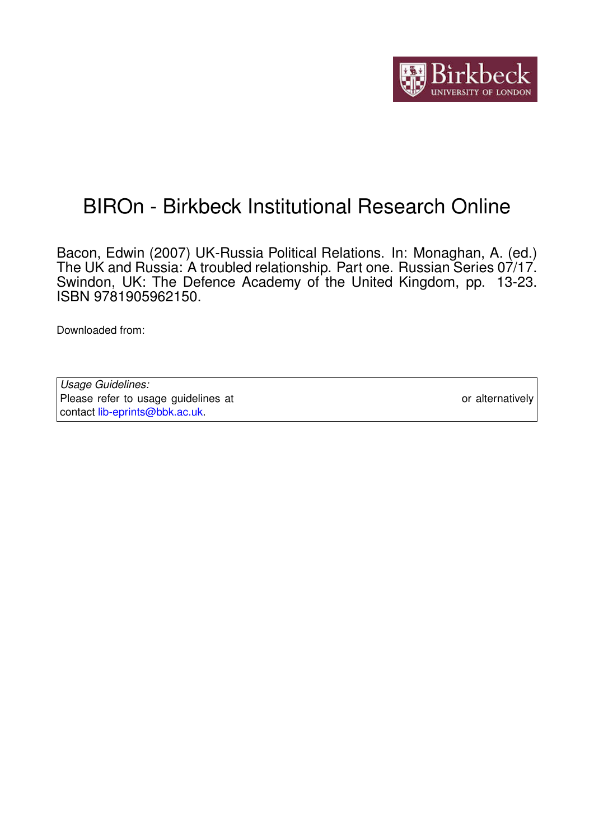

# BIROn - Birkbeck Institutional Research Online

Bacon, Edwin (2007) UK-Russia Political Relations. In: Monaghan, A. (ed.) The UK and Russia: A troubled relationship. Part one. Russian Series 07/17. Swindon, UK: The Defence Academy of the United Kingdom, pp. 13-23. ISBN 9781905962150.

Downloaded from: <https://eprints.bbk.ac.uk/id/eprint/3198/>

| Usage Guidelines:                                                           |                  |
|-----------------------------------------------------------------------------|------------------|
| Please refer to usage guidelines at https://eprints.bbk.ac.uk/policies.html | or alternatively |
| contact lib-eprints@bbk.ac.uk                                               |                  |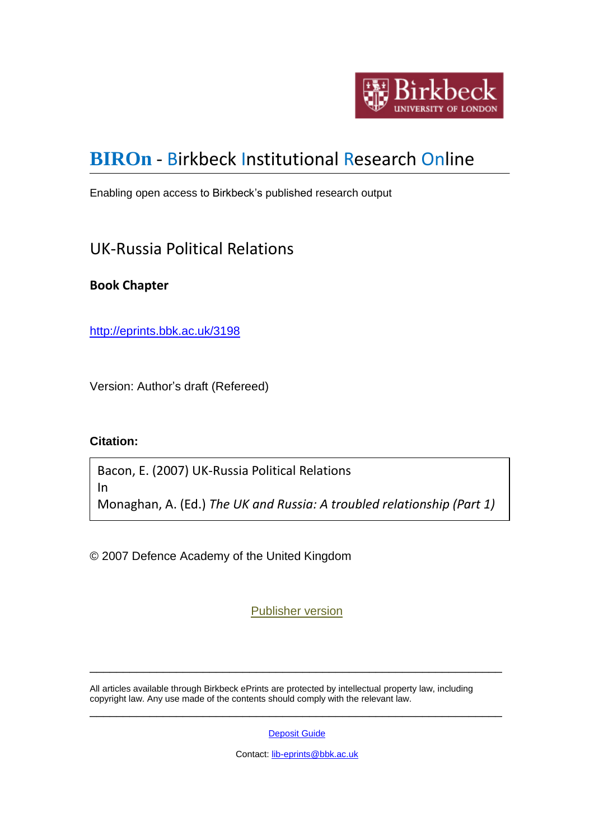

## **[BIROn](http://eprints.bbk.ac.uk/irstats.cgi)** - Birkbeck Institutional Research Online

Enabling open access to Birkbeck's published research output

### UK-Russia Political Relations

#### **Book Chapter**

<http://eprints.bbk.ac.uk/3198>

Version: Author's draft (Refereed)

#### **Citation:**

Bacon, E. (2007) UK-Russia Political Relations In Monaghan, A. (Ed.) *The UK and Russia: A troubled relationship (Part 1)*

© 2007 Defence Academy of the United Kingdom

[Publisher version](http://www.google.co.uk/url?sa=t&source=web&cd=2&ved=0CCAQFjAB&url=http%3A%2F%2Fwww.da.mod.uk%2Fcolleges%2Farag%2Fdocument-listings%2Frussian%2F07(17)AM.pdf&rct=j&q=conflict%20studies%20research%20centre&ei=LbKATZ3qCIeYhQfT5qSdBw&usg=AFQjCNG0B8AIJbGumhxAcW)

\_\_\_\_\_\_\_\_\_\_\_\_\_\_\_\_\_\_\_\_\_\_\_\_\_\_\_\_\_\_\_\_\_\_\_\_\_\_\_\_\_\_\_\_\_\_\_\_\_\_\_\_\_\_\_\_\_\_\_\_\_\_

All articles available through Birkbeck ePrints are protected by intellectual property law, including copyright law. Any use made of the contents should comply with the relevant law. \_\_\_\_\_\_\_\_\_\_\_\_\_\_\_\_\_\_\_\_\_\_\_\_\_\_\_\_\_\_\_\_\_\_\_\_\_\_\_\_\_\_\_\_\_\_\_\_\_\_\_\_\_\_\_\_\_\_\_\_\_\_

[Deposit Guide](http://eprints.bbk.ac.uk/deposit_guide.html)

Contact: [lib-eprints@bbk.ac.uk](mailto:lib-eprints@bbk.ac.uk)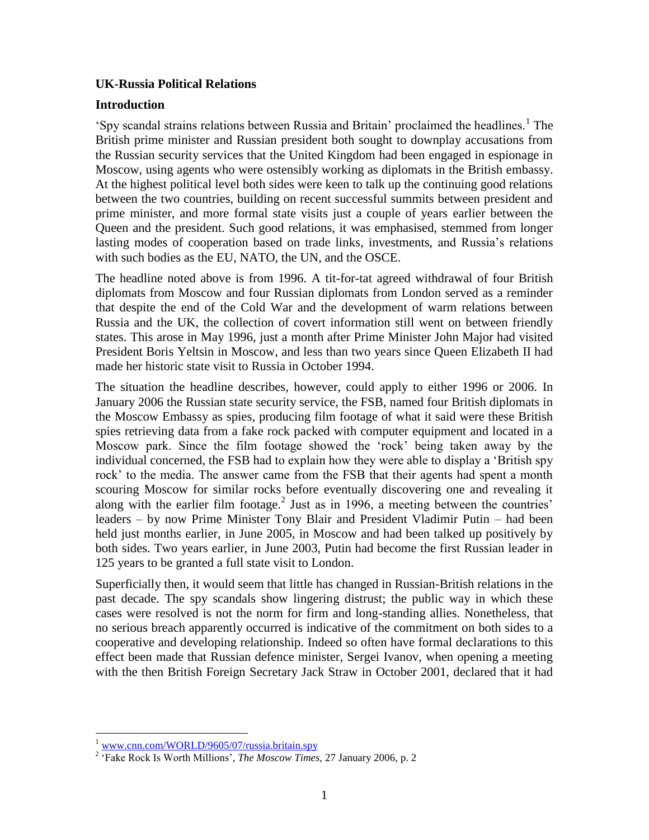#### **UK-Russia Political Relations**

#### **Introduction**

'Spy scandal strains relations between Russia and Britain' proclaimed the headlines.<sup>1</sup> The British prime minister and Russian president both sought to downplay accusations from the Russian security services that the United Kingdom had been engaged in espionage in Moscow, using agents who were ostensibly working as diplomats in the British embassy. At the highest political level both sides were keen to talk up the continuing good relations between the two countries, building on recent successful summits between president and prime minister, and more formal state visits just a couple of years earlier between the Queen and the president. Such good relations, it was emphasised, stemmed from longer lasting modes of cooperation based on trade links, investments, and Russia"s relations with such bodies as the EU, NATO, the UN, and the OSCE.

The headline noted above is from 1996. A tit-for-tat agreed withdrawal of four British diplomats from Moscow and four Russian diplomats from London served as a reminder that despite the end of the Cold War and the development of warm relations between Russia and the UK, the collection of covert information still went on between friendly states. This arose in May 1996, just a month after Prime Minister John Major had visited President Boris Yeltsin in Moscow, and less than two years since Queen Elizabeth II had made her historic state visit to Russia in October 1994.

The situation the headline describes, however, could apply to either 1996 or 2006. In January 2006 the Russian state security service, the FSB, named four British diplomats in the Moscow Embassy as spies, producing film footage of what it said were these British spies retrieving data from a fake rock packed with computer equipment and located in a Moscow park. Since the film footage showed the "rock" being taken away by the individual concerned, the FSB had to explain how they were able to display a "British spy rock" to the media. The answer came from the FSB that their agents had spent a month scouring Moscow for similar rocks before eventually discovering one and revealing it along with the earlier film footage.<sup>2</sup> Just as in 1996, a meeting between the countries' leaders – by now Prime Minister Tony Blair and President Vladimir Putin – had been held just months earlier, in June 2005, in Moscow and had been talked up positively by both sides. Two years earlier, in June 2003, Putin had become the first Russian leader in 125 years to be granted a full state visit to London.

Superficially then, it would seem that little has changed in Russian-British relations in the past decade. The spy scandals show lingering distrust; the public way in which these cases were resolved is not the norm for firm and long-standing allies. Nonetheless, that no serious breach apparently occurred is indicative of the commitment on both sides to a cooperative and developing relationship. Indeed so often have formal declarations to this effect been made that Russian defence minister, Sergei Ivanov, when opening a meeting with the then British Foreign Secretary Jack Straw in October 2001, declared that it had

 $\overline{a}$ <sup>1</sup> [www.cnn.com/WORLD/9605/07/russia.britain.spy](http://www.cnn.com/WORLD/9605/07/russia.britain.spy)

<sup>&</sup>lt;sup>2</sup> 'Fake Rock Is Worth Millions', *The Moscow Times*, 27 January 2006, p. 2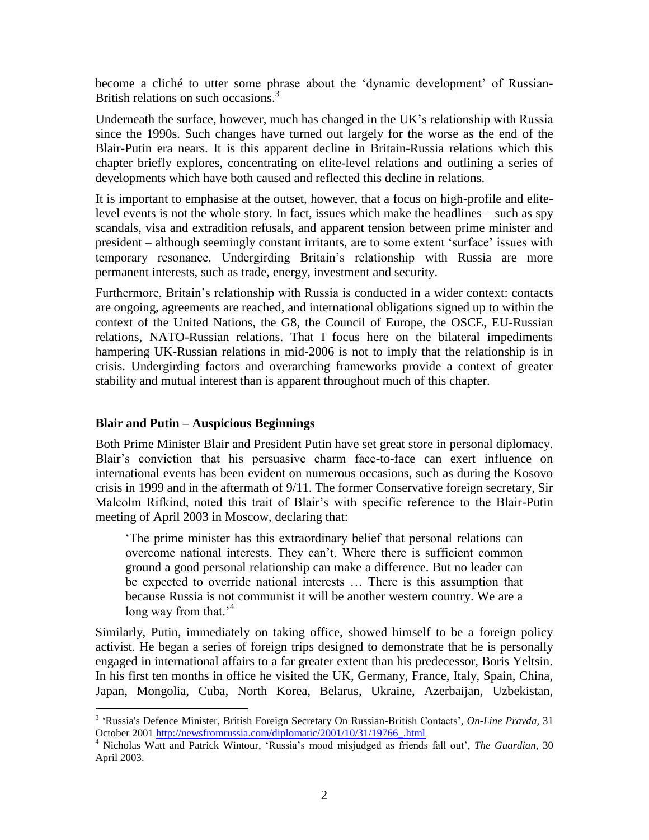become a cliché to utter some phrase about the 'dynamic development' of Russian-British relations on such occasions.<sup>3</sup>

Underneath the surface, however, much has changed in the UK"s relationship with Russia since the 1990s. Such changes have turned out largely for the worse as the end of the Blair-Putin era nears. It is this apparent decline in Britain-Russia relations which this chapter briefly explores, concentrating on elite-level relations and outlining a series of developments which have both caused and reflected this decline in relations.

It is important to emphasise at the outset, however, that a focus on high-profile and elitelevel events is not the whole story. In fact, issues which make the headlines – such as spy scandals, visa and extradition refusals, and apparent tension between prime minister and president – although seemingly constant irritants, are to some extent "surface" issues with temporary resonance. Undergirding Britain"s relationship with Russia are more permanent interests, such as trade, energy, investment and security.

Furthermore, Britain"s relationship with Russia is conducted in a wider context: contacts are ongoing, agreements are reached, and international obligations signed up to within the context of the United Nations, the G8, the Council of Europe, the OSCE, EU-Russian relations, NATO-Russian relations. That I focus here on the bilateral impediments hampering UK-Russian relations in mid-2006 is not to imply that the relationship is in crisis. Undergirding factors and overarching frameworks provide a context of greater stability and mutual interest than is apparent throughout much of this chapter.

#### **Blair and Putin – Auspicious Beginnings**

 $\overline{a}$ 

Both Prime Minister Blair and President Putin have set great store in personal diplomacy. Blair"s conviction that his persuasive charm face-to-face can exert influence on international events has been evident on numerous occasions, such as during the Kosovo crisis in 1999 and in the aftermath of 9/11. The former Conservative foreign secretary, Sir Malcolm Rifkind, noted this trait of Blair"s with specific reference to the Blair-Putin meeting of April 2003 in Moscow, declaring that:

"The prime minister has this extraordinary belief that personal relations can overcome national interests. They can"t. Where there is sufficient common ground a good personal relationship can make a difference. But no leader can be expected to override national interests … There is this assumption that because Russia is not communist it will be another western country. We are a long way from that.<sup> $4$ </sup>

Similarly, Putin, immediately on taking office, showed himself to be a foreign policy activist. He began a series of foreign trips designed to demonstrate that he is personally engaged in international affairs to a far greater extent than his predecessor, Boris Yeltsin. In his first ten months in office he visited the UK, Germany, France, Italy, Spain, China, Japan, Mongolia, Cuba, North Korea, Belarus, Ukraine, Azerbaijan, Uzbekistan,

<sup>3</sup> "Russia's Defence Minister, British Foreign Secretary On Russian-British Contacts", *On-Line Pravda,* 31 October 2001 [http://newsfromrussia.com/diplomatic/2001/10/31/19766\\_.html](http://newsfromrussia.com/diplomatic/2001/10/31/19766_.html)

<sup>4</sup> Nicholas Watt and Patrick Wintour, "Russia"s mood misjudged as friends fall out", *The Guardian*, 30 April 2003.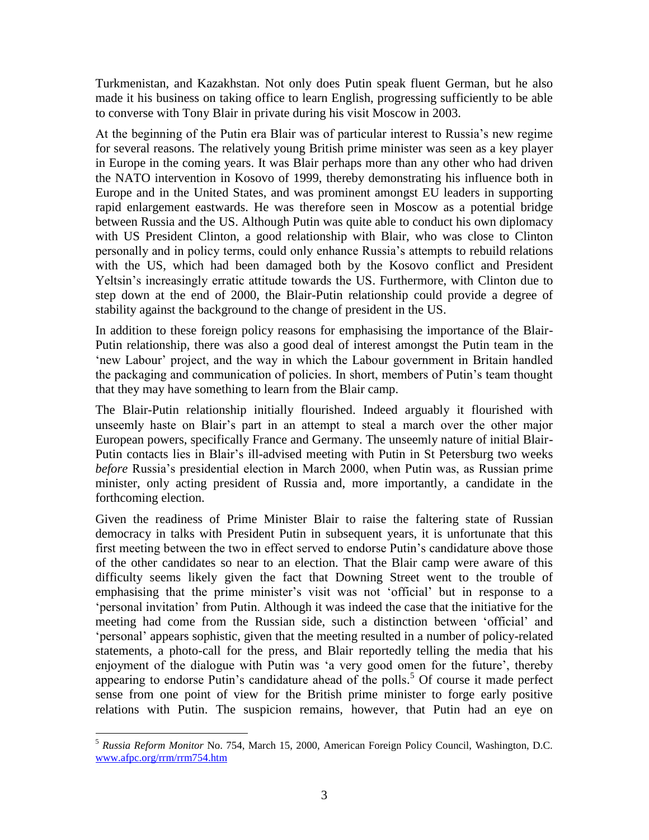Turkmenistan, and Kazakhstan. Not only does Putin speak fluent German, but he also made it his business on taking office to learn English, progressing sufficiently to be able to converse with Tony Blair in private during his visit Moscow in 2003.

At the beginning of the Putin era Blair was of particular interest to Russia"s new regime for several reasons. The relatively young British prime minister was seen as a key player in Europe in the coming years. It was Blair perhaps more than any other who had driven the NATO intervention in Kosovo of 1999, thereby demonstrating his influence both in Europe and in the United States, and was prominent amongst EU leaders in supporting rapid enlargement eastwards. He was therefore seen in Moscow as a potential bridge between Russia and the US. Although Putin was quite able to conduct his own diplomacy with US President Clinton, a good relationship with Blair, who was close to Clinton personally and in policy terms, could only enhance Russia"s attempts to rebuild relations with the US, which had been damaged both by the Kosovo conflict and President Yeltsin"s increasingly erratic attitude towards the US. Furthermore, with Clinton due to step down at the end of 2000, the Blair-Putin relationship could provide a degree of stability against the background to the change of president in the US.

In addition to these foreign policy reasons for emphasising the importance of the Blair-Putin relationship, there was also a good deal of interest amongst the Putin team in the 'new Labour' project, and the way in which the Labour government in Britain handled the packaging and communication of policies. In short, members of Putin"s team thought that they may have something to learn from the Blair camp.

The Blair-Putin relationship initially flourished. Indeed arguably it flourished with unseemly haste on Blair"s part in an attempt to steal a march over the other major European powers, specifically France and Germany. The unseemly nature of initial Blair-Putin contacts lies in Blair"s ill-advised meeting with Putin in St Petersburg two weeks *before* Russia's presidential election in March 2000, when Putin was, as Russian prime minister, only acting president of Russia and, more importantly, a candidate in the forthcoming election.

Given the readiness of Prime Minister Blair to raise the faltering state of Russian democracy in talks with President Putin in subsequent years, it is unfortunate that this first meeting between the two in effect served to endorse Putin's candidature above those of the other candidates so near to an election. That the Blair camp were aware of this difficulty seems likely given the fact that Downing Street went to the trouble of emphasising that the prime minister"s visit was not "official" but in response to a 'personal invitation' from Putin. Although it was indeed the case that the initiative for the meeting had come from the Russian side, such a distinction between "official" and "personal" appears sophistic, given that the meeting resulted in a number of policy-related statements, a photo-call for the press, and Blair reportedly telling the media that his enjoyment of the dialogue with Putin was "a very good omen for the future", thereby appearing to endorse Putin's candidature ahead of the polls.<sup>5</sup> Of course it made perfect sense from one point of view for the British prime minister to forge early positive relations with Putin. The suspicion remains, however, that Putin had an eye on

 $\overline{a}$ <sup>5</sup> *Russia Reform Monitor* No. 754, March 15, 2000, American Foreign Policy Council, Washington, D.C. [www.afpc.org/rrm/rrm754.htm](http://www.afpc.org/rrm/rrm754.htm)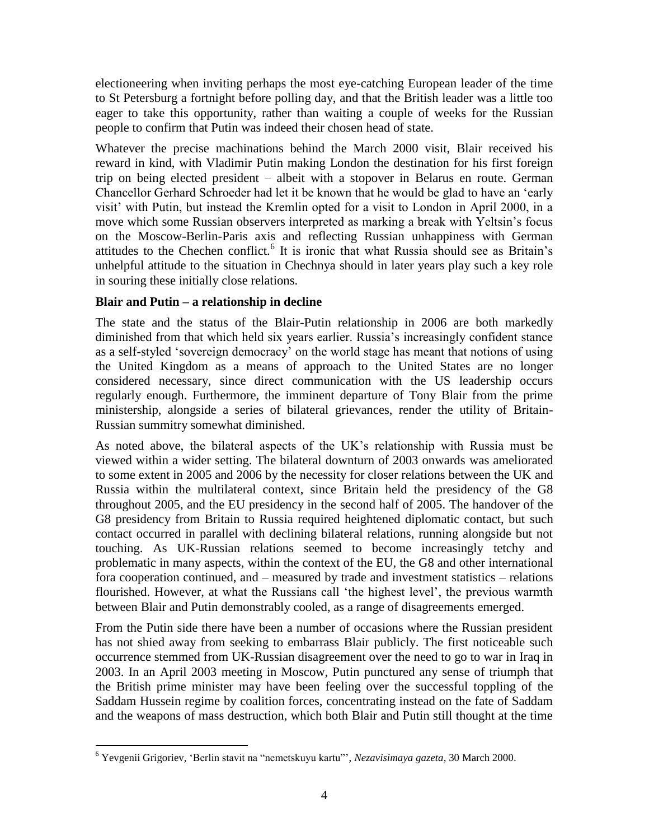electioneering when inviting perhaps the most eye-catching European leader of the time to St Petersburg a fortnight before polling day, and that the British leader was a little too eager to take this opportunity, rather than waiting a couple of weeks for the Russian people to confirm that Putin was indeed their chosen head of state.

Whatever the precise machinations behind the March 2000 visit, Blair received his reward in kind, with Vladimir Putin making London the destination for his first foreign trip on being elected president – albeit with a stopover in Belarus en route. German Chancellor Gerhard Schroeder had let it be known that he would be glad to have an "early visit" with Putin, but instead the Kremlin opted for a visit to London in April 2000, in a move which some Russian observers interpreted as marking a break with Yeltsin"s focus on the Moscow-Berlin-Paris axis and reflecting Russian unhappiness with German attitudes to the Chechen conflict.<sup>6</sup> It is ironic that what Russia should see as Britain's unhelpful attitude to the situation in Chechnya should in later years play such a key role in souring these initially close relations.

#### **Blair and Putin – a relationship in decline**

The state and the status of the Blair-Putin relationship in 2006 are both markedly diminished from that which held six years earlier. Russia"s increasingly confident stance as a self-styled "sovereign democracy" on the world stage has meant that notions of using the United Kingdom as a means of approach to the United States are no longer considered necessary, since direct communication with the US leadership occurs regularly enough. Furthermore, the imminent departure of Tony Blair from the prime ministership, alongside a series of bilateral grievances, render the utility of Britain-Russian summitry somewhat diminished.

As noted above, the bilateral aspects of the UK"s relationship with Russia must be viewed within a wider setting. The bilateral downturn of 2003 onwards was ameliorated to some extent in 2005 and 2006 by the necessity for closer relations between the UK and Russia within the multilateral context, since Britain held the presidency of the G8 throughout 2005, and the EU presidency in the second half of 2005. The handover of the G8 presidency from Britain to Russia required heightened diplomatic contact, but such contact occurred in parallel with declining bilateral relations, running alongside but not touching. As UK-Russian relations seemed to become increasingly tetchy and problematic in many aspects, within the context of the EU, the G8 and other international fora cooperation continued, and – measured by trade and investment statistics – relations flourished. However, at what the Russians call "the highest level", the previous warmth between Blair and Putin demonstrably cooled, as a range of disagreements emerged.

From the Putin side there have been a number of occasions where the Russian president has not shied away from seeking to embarrass Blair publicly. The first noticeable such occurrence stemmed from UK-Russian disagreement over the need to go to war in Iraq in 2003. In an April 2003 meeting in Moscow, Putin punctured any sense of triumph that the British prime minister may have been feeling over the successful toppling of the Saddam Hussein regime by coalition forces, concentrating instead on the fate of Saddam and the weapons of mass destruction, which both Blair and Putin still thought at the time

 $\overline{a}$ <sup>6</sup> Yevgenii Grigoriev, "Berlin stavit na "nemetskuyu kartu"", *Nezavisimaya gazeta,* 30 March 2000.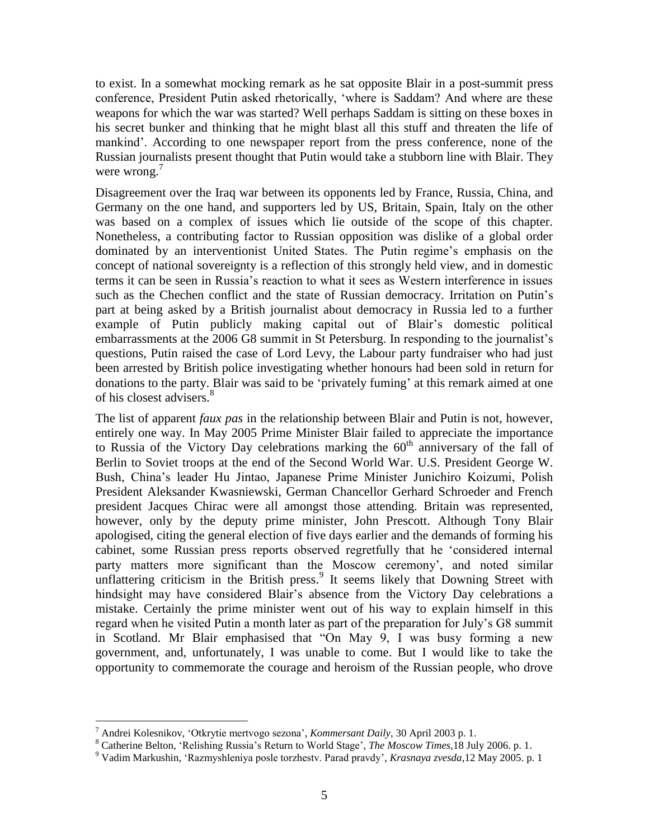to exist. In a somewhat mocking remark as he sat opposite Blair in a post-summit press conference, President Putin asked rhetorically, "where is Saddam? And where are these weapons for which the war was started? Well perhaps Saddam is sitting on these boxes in his secret bunker and thinking that he might blast all this stuff and threaten the life of mankind". According to one newspaper report from the press conference, none of the Russian journalists present thought that Putin would take a stubborn line with Blair. They were wrong.<sup>7</sup>

Disagreement over the Iraq war between its opponents led by France, Russia, China, and Germany on the one hand, and supporters led by US, Britain, Spain, Italy on the other was based on a complex of issues which lie outside of the scope of this chapter. Nonetheless, a contributing factor to Russian opposition was dislike of a global order dominated by an interventionist United States. The Putin regime's emphasis on the concept of national sovereignty is a reflection of this strongly held view, and in domestic terms it can be seen in Russia"s reaction to what it sees as Western interference in issues such as the Chechen conflict and the state of Russian democracy. Irritation on Putin"s part at being asked by a British journalist about democracy in Russia led to a further example of Putin publicly making capital out of Blair"s domestic political embarrassments at the 2006 G8 summit in St Petersburg. In responding to the journalist's questions, Putin raised the case of Lord Levy, the Labour party fundraiser who had just been arrested by British police investigating whether honours had been sold in return for donations to the party. Blair was said to be "privately fuming" at this remark aimed at one of his closest advisers.<sup>8</sup>

The list of apparent *faux pas* in the relationship between Blair and Putin is not, however, entirely one way. In May 2005 Prime Minister Blair failed to appreciate the importance to Russia of the Victory Day celebrations marking the  $60<sup>th</sup>$  anniversary of the fall of Berlin to Soviet troops at the end of the Second World War. U.S. President George W. Bush, China"s leader Hu Jintao, Japanese Prime Minister Junichiro Koizumi, Polish President Aleksander Kwasniewski, German Chancellor Gerhard Schroeder and French president Jacques Chirac were all amongst those attending. Britain was represented, however, only by the deputy prime minister, John Prescott. Although Tony Blair apologised, citing the general election of five days earlier and the demands of forming his cabinet, some Russian press reports observed regretfully that he "considered internal party matters more significant than the Moscow ceremony', and noted similar unflattering criticism in the British press.<sup>9</sup> It seems likely that Downing Street with hindsight may have considered Blair's absence from the Victory Day celebrations a mistake. Certainly the prime minister went out of his way to explain himself in this regard when he visited Putin a month later as part of the preparation for July"s G8 summit in Scotland. Mr Blair emphasised that "On May 9, I was busy forming a new government, and, unfortunately, I was unable to come. But I would like to take the opportunity to commemorate the courage and heroism of the Russian people, who drove

 $\overline{a}$ 

<sup>7</sup> Andrei Kolesnikov, "Otkrytie mertvogo sezona", *Kommersant Daily*, 30 April 2003 p. 1.

<sup>8</sup> Catherine Belton, 'Relishing Russia's Return to World Stage', *The Moscow Times*, 18 July 2006. p. 1.

<sup>9</sup> Vadim Markushin, "Razmyshleniya posle torzhestv. Parad pravdy", *Krasnaya zvesda*,12 May 2005. p. 1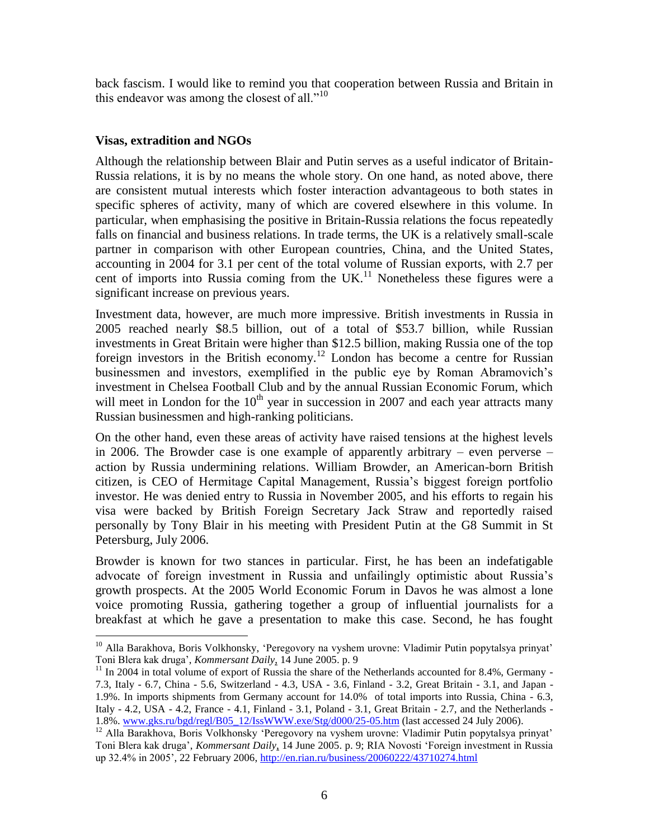back fascism. I would like to remind you that cooperation between Russia and Britain in this endeavor was among the closest of all. $"^{10}$ 

#### **Visas, extradition and NGOs**

Although the relationship between Blair and Putin serves as a useful indicator of Britain-Russia relations, it is by no means the whole story. On one hand, as noted above, there are consistent mutual interests which foster interaction advantageous to both states in specific spheres of activity, many of which are covered elsewhere in this volume. In particular, when emphasising the positive in Britain-Russia relations the focus repeatedly falls on financial and business relations. In trade terms, the UK is a relatively small-scale partner in comparison with other European countries, China, and the United States, accounting in 2004 for 3.1 per cent of the total volume of Russian exports, with 2.7 per cent of imports into Russia coming from the UK.<sup>11</sup> Nonetheless these figures were a significant increase on previous years.

Investment data, however, are much more impressive. British investments in Russia in 2005 reached nearly \$8.5 billion, out of a total of \$53.7 billion, while Russian investments in Great Britain were higher than \$12.5 billion, making Russia one of the top foreign investors in the British economy.<sup>12</sup> London has become a centre for Russian businessmen and investors, exemplified in the public eye by Roman Abramovich"s investment in Chelsea Football Club and by the annual Russian Economic Forum, which will meet in London for the  $10<sup>th</sup>$  year in succession in 2007 and each year attracts many Russian businessmen and high-ranking politicians.

On the other hand, even these areas of activity have raised tensions at the highest levels in 2006. The Browder case is one example of apparently arbitrary – even perverse – action by Russia undermining relations. William Browder, an American-born British citizen, is CEO of Hermitage Capital Management, Russia"s biggest foreign portfolio investor. He was denied entry to Russia in November 2005, and his efforts to regain his visa were backed by British Foreign Secretary Jack Straw and reportedly raised personally by Tony Blair in his meeting with President Putin at the G8 Summit in St Petersburg, July 2006.

Browder is known for two stances in particular. First, he has been an indefatigable advocate of foreign investment in Russia and unfailingly optimistic about Russia"s growth prospects. At the 2005 World Economic Forum in Davos he was almost a lone voice promoting Russia, gathering together a group of influential journalists for a breakfast at which he gave a presentation to make this case. Second, he has fought

 $\overline{a}$ <sup>10</sup> Alla Barakhova, Boris Volkhonsky, 'Peregovory na vyshem urovne: Vladimir Putin popytalsya prinyat' Toni Blera kak druga", *Kommersant Daily*, 14 June 2005. p. 9

 $11$  In 2004 in total volume of export of Russia the share of the Netherlands accounted for 8.4%, Germany -7.3, Italy - 6.7, China - 5.6, Switzerland - 4.3, USA - 3.6, Finland - 3.2, Great Britain - 3.1, and Japan - 1.9%. In imports shipments from Germany account for 14.0% of total imports into Russia, China - 6.3, Italy - 4.2, USA - 4.2, France - 4.1, Finland - 3.1, Poland - 3.1, Great Britain - 2.7, and the Netherlands - 1.8%. [www.gks.ru/bgd/regl/B05\\_12/IssWWW.exe/Stg/d000/25-05.htm](http://www.gks.ru/bgd/regl/B05_12/IssWWW.exe/Stg/d000/25-05.htm) (last accessed 24 July 2006).

<sup>&</sup>lt;sup>12</sup> Alla Barakhova, Boris Volkhonsky 'Peregovory na vyshem urovne: Vladimir Putin popytalsya prinyat' Toni Blera kak druga", *Kommersant Daily*, 14 June 2005. p. 9; RIA Novosti "Foreign investment in Russia up 32.4% in 2005", 22 February 2006[, http://en.rian.ru/business/20060222/43710274.html](http://en.rian.ru/business/20060222/43710274.html)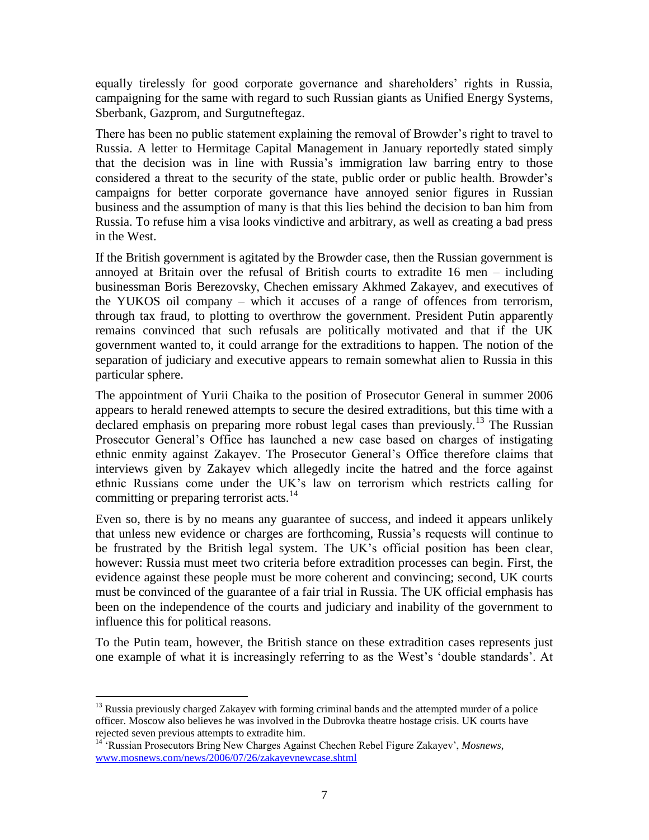equally tirelessly for good corporate governance and shareholders" rights in Russia, campaigning for the same with regard to such Russian giants as Unified Energy Systems, Sberbank, Gazprom, and Surgutneftegaz.

There has been no public statement explaining the removal of Browder"s right to travel to Russia. A letter to Hermitage Capital Management in January reportedly stated simply that the decision was in line with Russia"s immigration law barring entry to those considered a threat to the security of the state, public order or public health. Browder"s campaigns for better corporate governance have annoyed senior figures in Russian business and the assumption of many is that this lies behind the decision to ban him from Russia. To refuse him a visa looks vindictive and arbitrary, as well as creating a bad press in the West.

If the British government is agitated by the Browder case, then the Russian government is annoyed at Britain over the refusal of British courts to extradite 16 men – including businessman Boris Berezovsky, Chechen emissary Akhmed Zakayev, and executives of the YUKOS oil company – which it accuses of a range of offences from terrorism, through tax fraud, to plotting to overthrow the government. President Putin apparently remains convinced that such refusals are politically motivated and that if the UK government wanted to, it could arrange for the extraditions to happen. The notion of the separation of judiciary and executive appears to remain somewhat alien to Russia in this particular sphere.

The appointment of Yurii Chaika to the position of Prosecutor General in summer 2006 appears to herald renewed attempts to secure the desired extraditions, but this time with a declared emphasis on preparing more robust legal cases than previously.<sup>13</sup> The Russian Prosecutor General"s Office has launched a new case based on charges of instigating ethnic enmity against Zakayev. The Prosecutor General"s Office therefore claims that interviews given by Zakayev which allegedly incite the hatred and the force against ethnic Russians come under the UK"s law on terrorism which restricts calling for committing or preparing terrorist acts.<sup>14</sup>

Even so, there is by no means any guarantee of success, and indeed it appears unlikely that unless new evidence or charges are forthcoming, Russia"s requests will continue to be frustrated by the British legal system. The UK"s official position has been clear, however: Russia must meet two criteria before extradition processes can begin. First, the evidence against these people must be more coherent and convincing; second, UK courts must be convinced of the guarantee of a fair trial in Russia. The UK official emphasis has been on the independence of the courts and judiciary and inability of the government to influence this for political reasons.

To the Putin team, however, the British stance on these extradition cases represents just one example of what it is increasingly referring to as the West"s "double standards". At

 $\overline{a}$ 

<sup>&</sup>lt;sup>13</sup> Russia previously charged Zakayev with forming criminal bands and the attempted murder of a police officer. Moscow also believes he was involved in the Dubrovka theatre hostage crisis. UK courts have rejected seven previous attempts to extradite him.

<sup>&</sup>lt;sup>14</sup> 'Russian Prosecutors Bring New Charges Against Chechen Rebel Figure Zakayev', *Mosnews*, [www.mosnews.com/news/2006/07/26/zakayevnewcase.shtml](http://www.mosnews.com/news/2006/07/26/zakayevnewcase.shtml)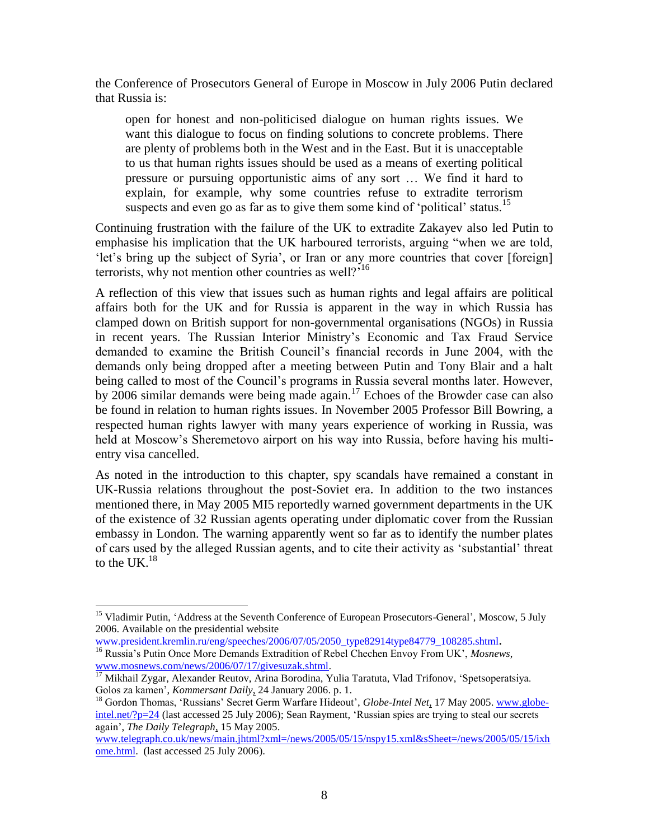the Conference of Prosecutors General of Europe in Moscow in July 2006 Putin declared that Russia is:

open for honest and non-politicised dialogue on human rights issues. We want this dialogue to focus on finding solutions to concrete problems. There are plenty of problems both in the West and in the East. But it is unacceptable to us that human rights issues should be used as a means of exerting political pressure or pursuing opportunistic aims of any sort … We find it hard to explain, for example, why some countries refuse to extradite terrorism suspects and even go as far as to give them some kind of 'political' status.<sup>15</sup>

Continuing frustration with the failure of the UK to extradite Zakayev also led Putin to emphasise his implication that the UK harboured terrorists, arguing "when we are told, 'let's bring up the subject of Syria', or Iran or any more countries that cover [foreign] terrorists, why not mention other countries as well? $i^{16}$ 

A reflection of this view that issues such as human rights and legal affairs are political affairs both for the UK and for Russia is apparent in the way in which Russia has clamped down on British support for non-governmental organisations (NGOs) in Russia in recent years. The Russian Interior Ministry"s Economic and Tax Fraud Service demanded to examine the British Council"s financial records in June 2004, with the demands only being dropped after a meeting between Putin and Tony Blair and a halt being called to most of the Council's programs in Russia several months later. However, by 2006 similar demands were being made again.<sup>17</sup> Echoes of the Browder case can also be found in relation to human rights issues. In November 2005 Professor Bill Bowring, a respected human rights lawyer with many years experience of working in Russia, was held at Moscow"s Sheremetovo airport on his way into Russia, before having his multientry visa cancelled.

As noted in the introduction to this chapter, spy scandals have remained a constant in UK-Russia relations throughout the post-Soviet era. In addition to the two instances mentioned there, in May 2005 MI5 reportedly warned government departments in the UK of the existence of 32 Russian agents operating under diplomatic cover from the Russian embassy in London. The warning apparently went so far as to identify the number plates of cars used by the alleged Russian agents, and to cite their activity as "substantial" threat to the UK. $^{18}$ 

[www.president.kremlin.ru/eng/speeches/2006/07/05/2050\\_type82914type84779\\_108285.shtml](http://www.president.kremlin.ru/eng/speeches/2006/07/05/2050_type82914type84779_108285.shtml)**.** <sup>16</sup> Russia"s Putin Once More Demands Extradition of Rebel Chechen Envoy From UK", *Mosnews*,

 $\overline{a}$ 

<sup>&</sup>lt;sup>15</sup> Vladimir Putin, 'Address at the Seventh Conference of European Prosecutors-General', Moscow, 5 July 2006. Available on the presidential website

[www.mosnews.com/news/2006/07/17/givesuzak.shtml.](http://www.mosnews.com/news/2006/07/17/givesuzak.shtml)

<sup>&</sup>lt;sup>17</sup> Mikhail Zygar, Alexander Reutov, Arina Borodina, Yulia Taratuta, Vlad Trifonov, 'Spetsoperatsiya. Golos za kamen", *Kommersant Daily*, 24 January 2006. p. 1.

<sup>&</sup>lt;sup>18</sup> Gordon Thomas, 'Russians' Secret Germ Warfare Hideout', *Globe-Intel Net*, 17 May 2005. [www.globe](http://www.globe-intel.net/?p=24)[intel.net/?p=24](http://www.globe-intel.net/?p=24) (last accessed 25 July 2006); Sean Rayment, "Russian spies are trying to steal our secrets again", *The Daily Telegraph*, 15 May 2005.

[www.telegraph.co.uk/news/main.jhtml?xml=/news/2005/05/15/nspy15.xml&sSheet=/news/2005/05/15/ixh](http://www.telegraph.co.uk/news/main.jhtml?xml=/news/2005/05/15/nspy15.xml&sSheet=/news/2005/05/15/ixhome.html) [ome.html.](http://www.telegraph.co.uk/news/main.jhtml?xml=/news/2005/05/15/nspy15.xml&sSheet=/news/2005/05/15/ixhome.html) (last accessed 25 July 2006).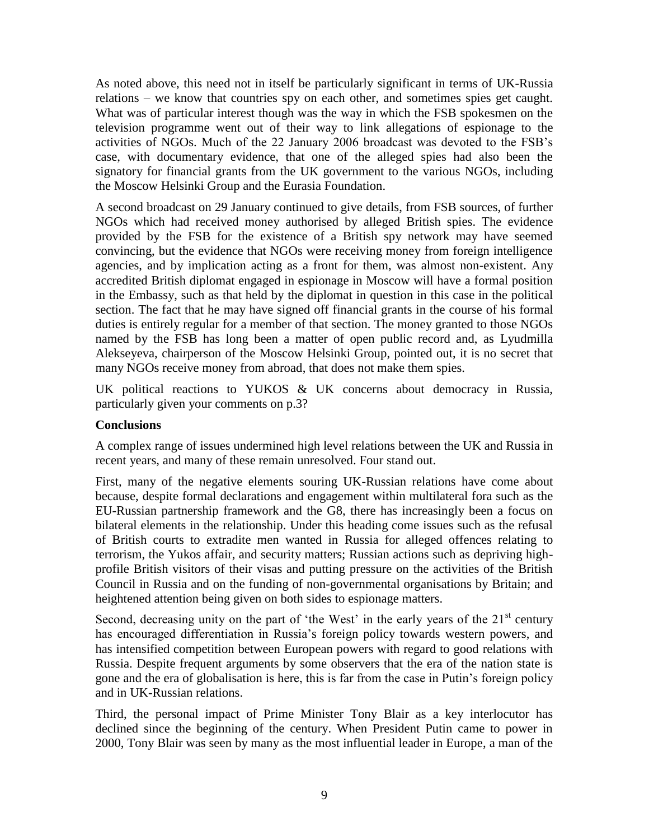As noted above, this need not in itself be particularly significant in terms of UK-Russia relations – we know that countries spy on each other, and sometimes spies get caught. What was of particular interest though was the way in which the FSB spokesmen on the television programme went out of their way to link allegations of espionage to the activities of NGOs. Much of the 22 January 2006 broadcast was devoted to the FSB"s case, with documentary evidence, that one of the alleged spies had also been the signatory for financial grants from the UK government to the various NGOs, including the Moscow Helsinki Group and the Eurasia Foundation.

A second broadcast on 29 January continued to give details, from FSB sources, of further NGOs which had received money authorised by alleged British spies. The evidence provided by the FSB for the existence of a British spy network may have seemed convincing, but the evidence that NGOs were receiving money from foreign intelligence agencies, and by implication acting as a front for them, was almost non-existent. Any accredited British diplomat engaged in espionage in Moscow will have a formal position in the Embassy, such as that held by the diplomat in question in this case in the political section. The fact that he may have signed off financial grants in the course of his formal duties is entirely regular for a member of that section. The money granted to those NGOs named by the FSB has long been a matter of open public record and, as Lyudmilla Alekseyeva, chairperson of the Moscow Helsinki Group, pointed out, it is no secret that many NGOs receive money from abroad, that does not make them spies.

UK political reactions to YUKOS & UK concerns about democracy in Russia, particularly given your comments on p.3?

#### **Conclusions**

A complex range of issues undermined high level relations between the UK and Russia in recent years, and many of these remain unresolved. Four stand out.

First, many of the negative elements souring UK-Russian relations have come about because, despite formal declarations and engagement within multilateral fora such as the EU-Russian partnership framework and the G8, there has increasingly been a focus on bilateral elements in the relationship. Under this heading come issues such as the refusal of British courts to extradite men wanted in Russia for alleged offences relating to terrorism, the Yukos affair, and security matters; Russian actions such as depriving highprofile British visitors of their visas and putting pressure on the activities of the British Council in Russia and on the funding of non-governmental organisations by Britain; and heightened attention being given on both sides to espionage matters.

Second, decreasing unity on the part of 'the West' in the early years of the  $21<sup>st</sup>$  century has encouraged differentiation in Russia's foreign policy towards western powers, and has intensified competition between European powers with regard to good relations with Russia. Despite frequent arguments by some observers that the era of the nation state is gone and the era of globalisation is here, this is far from the case in Putin"s foreign policy and in UK-Russian relations.

Third, the personal impact of Prime Minister Tony Blair as a key interlocutor has declined since the beginning of the century. When President Putin came to power in 2000, Tony Blair was seen by many as the most influential leader in Europe, a man of the